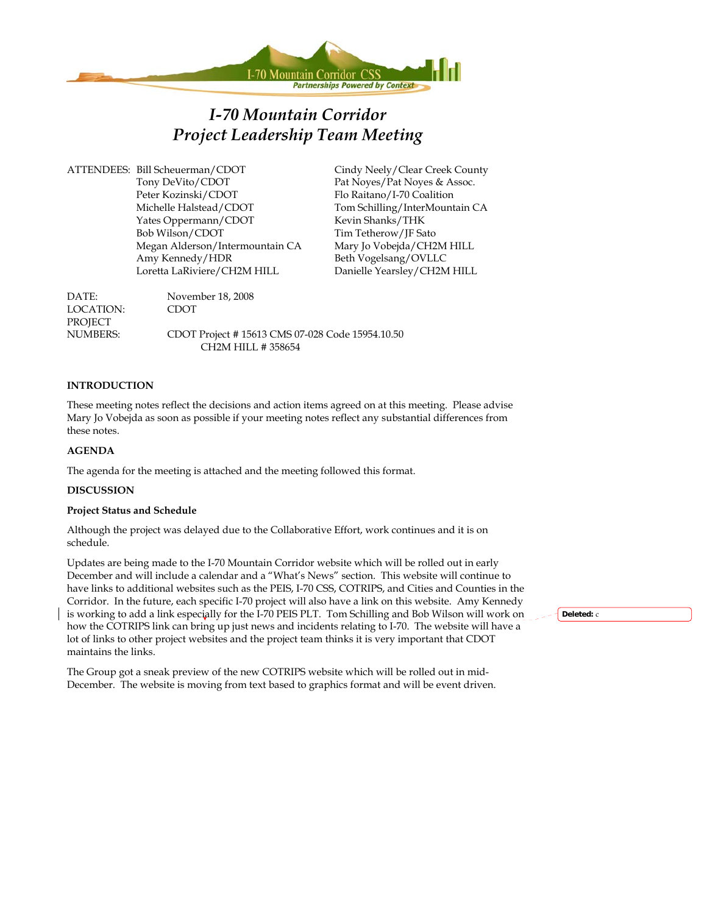

# *I-70 Mountain Corridor Project Leadership Team Meeting*

ATTENDEES: Bill Scheuerman/CDOT Cindy Neely/Clear Creek County Tony DeVito/CDOT Pat Noyes/Pat Noyes & Assoc. Peter Kozinski/CDOT Flo Raitano/I-70 Coalition Michelle Halstead/CDOT Tom Schilling/InterMountain CA Yates Oppermann/CDOT Kevin Shanks/THK Bob Wilson/CDOT Tim Tetherow/JF Sato Megan Alderson/Intermountain CA Mary Jo Vobejda/CH2M HILL Amy Kennedy/HDR Beth Vogelsang/OVLLC Loretta LaRiviere/CH2M HILL Danielle Yearsley/CH2M HILL

DATE: November 18, 2008 LOCATION: CDOT PROJECT NUMBERS: CDOT Project # 15613 CMS 07-028 Code 15954.10.50 CH2M HILL # 358654

#### **INTRODUCTION**

These meeting notes reflect the decisions and action items agreed on at this meeting. Please advise Mary Jo Vobejda as soon as possible if your meeting notes reflect any substantial differences from these notes.

#### **AGENDA**

The agenda for the meeting is attached and the meeting followed this format.

#### **DISCUSSION**

#### **Project Status and Schedule**

Although the project was delayed due to the Collaborative Effort, work continues and it is on schedule.

Updates are being made to the I-70 Mountain Corridor website which will be rolled out in early December and will include a calendar and a "What's News" section. This website will continue to have links to additional websites such as the PEIS, I-70 CSS, COTRIPS, and Cities and Counties in the Corridor. In the future, each specific I-70 project will also have a link on this website. Amy Kennedy is working to add a link especially for the I-70 PEIS PLT. Tom Schilling and Bob Wilson will work on how the COTRIPS link can bring up just news and incidents relating to I-70. The website will have a lot of links to other project websites and the project team thinks it is very important that CDOT maintains the links.

The Group got a sneak preview of the new COTRIPS website which will be rolled out in mid-December. The website is moving from text based to graphics format and will be event driven. **Deleted:** c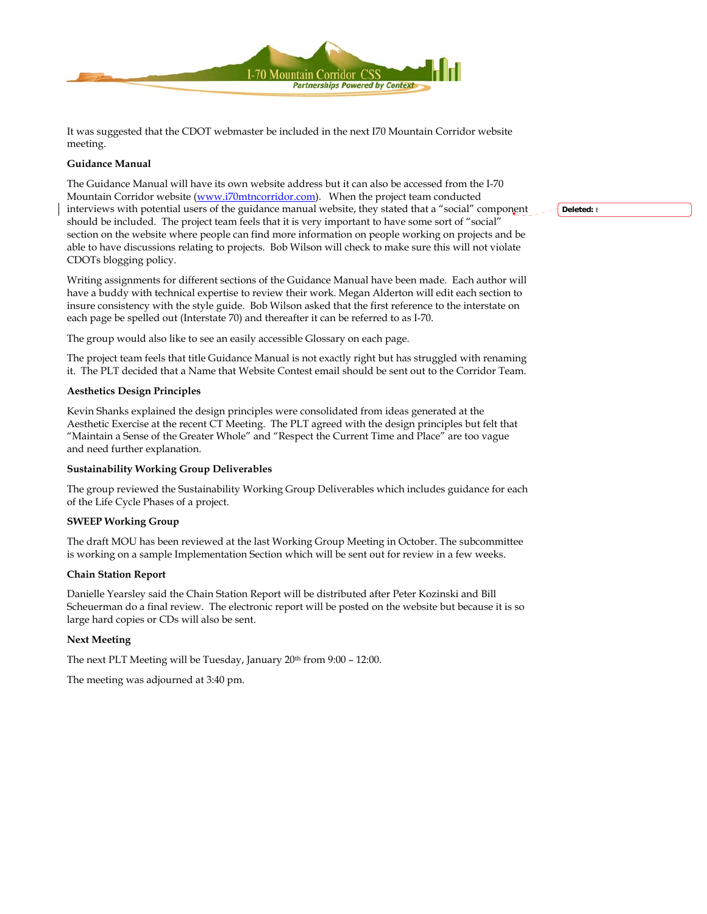

It was suggested that the CDOT webmaster be included in the next I70 Mountain Corridor website meeting.

#### **Guidance Manual**

The Guidance Manual will have its own website address but it can also be accessed from the I-70 Mountain Corridor website ([www.i70mtncorridor.com](http://www.i70mtncorridor.com/)). When the project team conducted interviews with potential users of the guidance manual website, they stated that a "social" component should be included. The project team feels that it is very important to have some sort of "social" section on the website where people can find more information on people working on projects and be able to have discussions relating to projects. Bob Wilson will check to make sure this will not violate CDOTs blogging policy.

Writing assignments for different sections of the Guidance Manual have been made. Each author will have a buddy with technical expertise to review their work. Megan Alderton will edit each section to insure consistency with the style guide. Bob Wilson asked that the first reference to the interstate on each page be spelled out (Interstate 70) and thereafter it can be referred to as I-70.

The group would also like to see an easily accessible Glossary on each page.

The project team feels that title Guidance Manual is not exactly right but has struggled with renaming it. The PLT decided that a Name that Website Contest email should be sent out to the Corridor Team.

#### **Aesthetics Design Principles**

Kevin Shanks explained the design principles were consolidated from ideas generated at the Aesthetic Exercise at the recent CT Meeting. The PLT agreed with the design principles but felt that "Maintain a Sense of the Greater Whole" and "Respect the Current Time and Place" are too vague and need further explanation.

#### **Sustainability Working Group Deliverables**

The group reviewed the Sustainability Working Group Deliverables which includes guidance for each of the Life Cycle Phases of a project.

#### **SWEEP Working Group**

The draft MOU has been reviewed at the last Working Group Meeting in October. The subcommittee is working on a sample Implementation Section which will be sent out for review in a few weeks.

#### **Chain Station Report**

Danielle Yearsley said the Chain Station Report will be distributed after Peter Kozinski and Bill Scheuerman do a final review. The electronic report will be posted on the website but because it is so large hard copies or CDs will also be sent.

#### **Next Meeting**

The next PLT Meeting will be Tuesday, January 20th from 9:00 – 12:00.

The meeting was adjourned at 3:40 pm.

**Deleted:** t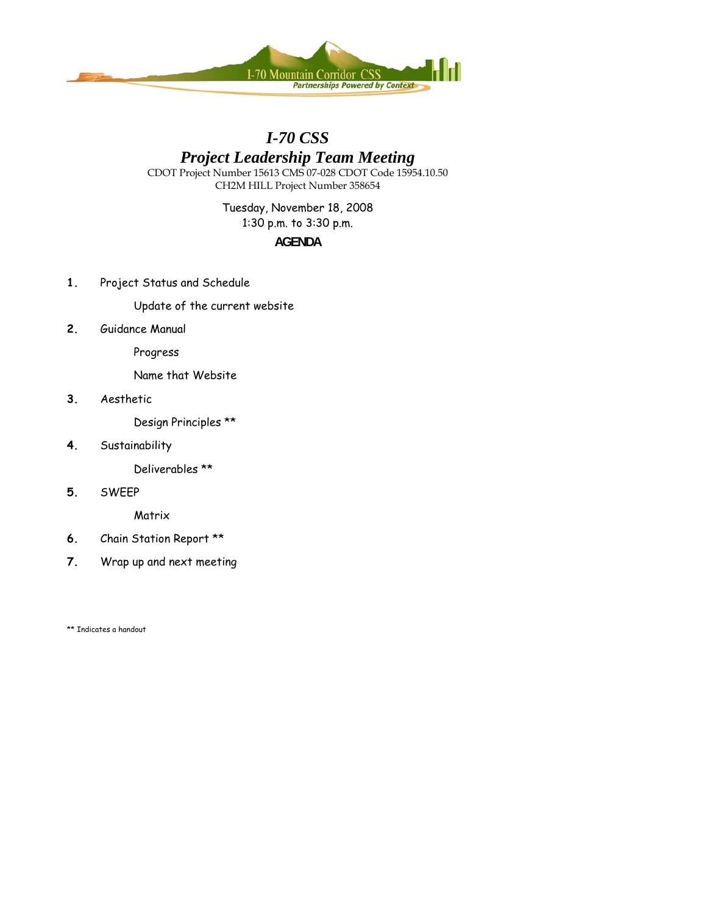

## *I-70 CSS*

# *Project Leadership Team Meeting*

CDOT Project Number 15613 CMS 07-028 CDOT Code 15954.10.50 CH2M HILL Project Number 358654

> Tuesday, November 18, 2008 1:30 p.m. to 3:30 p.m.

### **AGENDA**

**1.** Project Status and Schedule

Update of the current website

**2.** Guidance Manual

Progress

Name that Website

**3.** Aesthetic

Design Principles \*\*

**4.** Sustainability

Deliverables \*\*

**5.** SWEEP

**Matrix** 

- **6.** Chain Station Report \*\*
- **7.** Wrap up and next meeting

\*\* Indicates a handout